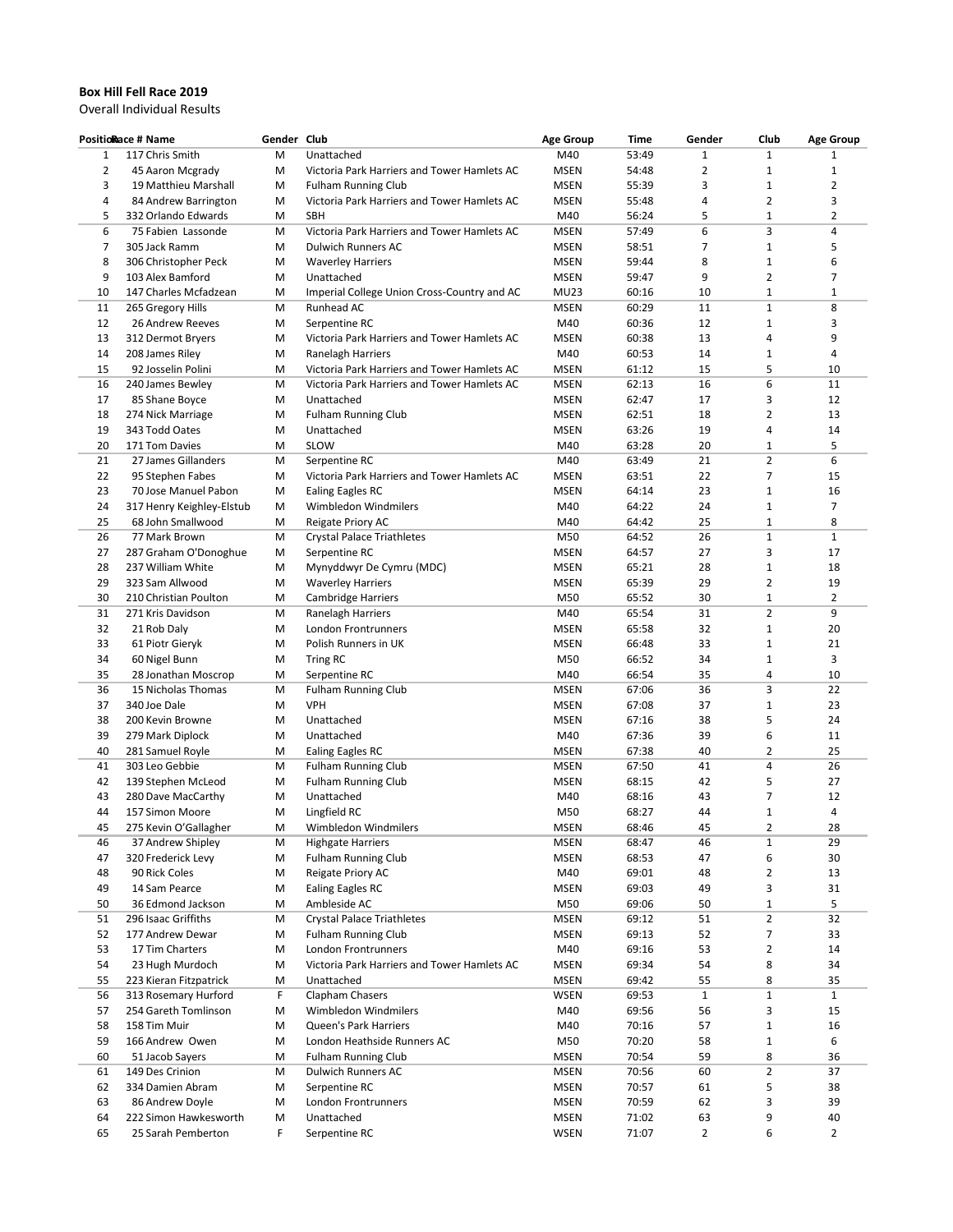## **Box Hill Fell Race 2019**

Overall Individual Results

| <b>PositioRace # Name</b> |                           | Gender Club |                                             | <b>Age Group</b> | Time  | Gender         | Club           | <b>Age Group</b>        |
|---------------------------|---------------------------|-------------|---------------------------------------------|------------------|-------|----------------|----------------|-------------------------|
| $\mathbf{1}$              | 117 Chris Smith           | М           | Unattached                                  | M40              | 53:49 | $\mathbf{1}$   | $\mathbf{1}$   | 1                       |
| 2                         | 45 Aaron Mcgrady          | M           | Victoria Park Harriers and Tower Hamlets AC | <b>MSEN</b>      | 54:48 | $\overline{2}$ | $\mathbf{1}$   | $\mathbf{1}$            |
| 3                         | 19 Matthieu Marshall      | м           | <b>Fulham Running Club</b>                  | <b>MSEN</b>      | 55:39 | 3              | $\mathbf{1}$   | $\overline{\mathbf{c}}$ |
| 4                         | 84 Andrew Barrington      | м           | Victoria Park Harriers and Tower Hamlets AC | <b>MSEN</b>      | 55:48 | 4              | $\overline{2}$ | 3                       |
| 5                         | 332 Orlando Edwards       | м           | SBH                                         | M40              | 56:24 | 5              | $\mathbf{1}$   | 2                       |
| 6                         | 75 Fabien Lassonde        | м           | Victoria Park Harriers and Tower Hamlets AC | <b>MSEN</b>      | 57:49 | 6              | 3              | 4                       |
| 7                         | 305 Jack Ramm             | М           | <b>Dulwich Runners AC</b>                   | <b>MSEN</b>      | 58:51 | 7              | $\mathbf{1}$   | 5                       |
| 8                         | 306 Christopher Peck      | м           | <b>Waverley Harriers</b>                    | <b>MSEN</b>      | 59:44 | 8              | $1\,$          | 6                       |
| 9                         | 103 Alex Bamford          | м           | Unattached                                  | <b>MSEN</b>      | 59:47 | 9              | $\overline{2}$ | 7                       |
| 10                        | 147 Charles Mcfadzean     | м           | Imperial College Union Cross-Country and AC | <b>MU23</b>      | 60:16 | 10             | $1\,$          | $\mathbf{1}$            |
| 11                        | 265 Gregory Hills         | м           | Runhead AC                                  | <b>MSEN</b>      | 60:29 | 11             | $\mathbf{1}$   | 8                       |
| 12                        | 26 Andrew Reeves          | м           | Serpentine RC                               | M40              | 60:36 | 12             | $1\,$          | 3                       |
| 13                        | 312 Dermot Bryers         | M           | Victoria Park Harriers and Tower Hamlets AC | <b>MSEN</b>      | 60:38 | 13             | $\overline{4}$ | 9                       |
| 14                        | 208 James Riley           | м           | Ranelagh Harriers                           | M40              | 60:53 | 14             | $\mathbf{1}$   | 4                       |
| 15                        | 92 Josselin Polini        | M           | Victoria Park Harriers and Tower Hamlets AC | <b>MSEN</b>      | 61:12 | 15             | 5              | 10                      |
| 16                        | 240 James Bewley          | м           | Victoria Park Harriers and Tower Hamlets AC | <b>MSEN</b>      | 62:13 | 16             | 6              | 11                      |
| 17                        | 85 Shane Boyce            | м           | Unattached                                  | <b>MSEN</b>      | 62:47 | 17             | 3              | 12                      |
| 18                        | 274 Nick Marriage         | м           | <b>Fulham Running Club</b>                  | <b>MSEN</b>      | 62:51 | 18             | $\overline{2}$ | 13                      |
| 19                        | 343 Todd Oates            | м           | Unattached                                  | <b>MSEN</b>      | 63:26 | 19             | 4              | 14                      |
| 20                        | 171 Tom Davies            | м           | SLOW                                        | M40              | 63:28 | 20             | $\mathbf{1}$   | 5                       |
| 21                        | 27 James Gillanders       | м           | Serpentine RC                               | M40              | 63:49 | 21             | $\overline{2}$ | 6                       |
| 22                        | 95 Stephen Fabes          | м           | Victoria Park Harriers and Tower Hamlets AC | <b>MSEN</b>      | 63:51 | 22             | $\overline{7}$ | 15                      |
| 23                        | 70 Jose Manuel Pabon      | м           | Ealing Eagles RC                            | <b>MSEN</b>      | 64:14 | 23             | $1\,$          | 16                      |
| 24                        | 317 Henry Keighley-Elstub | м           | Wimbledon Windmilers                        | M40              | 64:22 | 24             | $\mathbf 1$    | $\overline{7}$          |
| 25                        | 68 John Smallwood         | м           | Reigate Priory AC                           | M40              | 64:42 | 25             | $\mathbf{1}$   | 8                       |
| 26                        | 77 Mark Brown             | м           | <b>Crystal Palace Triathletes</b>           | M50              | 64:52 | 26             | $1\,$          | $\mathbf{1}$            |
| 27                        | 287 Graham O'Donoghue     | м           | Serpentine RC                               | <b>MSEN</b>      | 64:57 | 27             | 3              | 17                      |
| 28                        | 237 William White         | м           | Mynyddwyr De Cymru (MDC)                    | <b>MSEN</b>      | 65:21 | 28             | $1\,$          | 18                      |
| 29                        | 323 Sam Allwood           | м           | <b>Waverley Harriers</b>                    | <b>MSEN</b>      | 65:39 | 29             | $\overline{2}$ | 19                      |
| 30                        | 210 Christian Poulton     | M           | Cambridge Harriers                          | M50              | 65:52 | 30             | $1\,$          | $\overline{2}$          |
| 31                        | 271 Kris Davidson         | м           | Ranelagh Harriers                           | M40              | 65:54 | 31             | $\overline{2}$ | 9                       |
| 32                        | 21 Rob Daly               | м           | London Frontrunners                         | <b>MSEN</b>      | 65:58 | 32             | $1\,$          | 20                      |
| 33                        | 61 Piotr Gieryk           | M           | Polish Runners in UK                        | <b>MSEN</b>      | 66:48 | 33             | $\mathbf{1}$   | 21                      |
| 34                        | 60 Nigel Bunn             | M           | <b>Tring RC</b>                             | M50              | 66:52 | 34             | $\mathbf 1$    | 3                       |
| 35                        | 28 Jonathan Moscrop       | M           | Serpentine RC                               | M40              | 66:54 | 35             | 4              | 10                      |
| 36                        | 15 Nicholas Thomas        | м           | <b>Fulham Running Club</b>                  | <b>MSEN</b>      | 67:06 | 36             | 3              | 22                      |
| 37                        | 340 Joe Dale              | м           | <b>VPH</b>                                  | <b>MSEN</b>      | 67:08 | 37             | $1\,$          | 23                      |
| 38                        | 200 Kevin Browne          | м           | Unattached                                  | <b>MSEN</b>      | 67:16 | 38             | 5              | 24                      |
| 39                        | 279 Mark Diplock          | м           | Unattached                                  | M40              | 67:36 | 39             | 6              | 11                      |
| 40                        | 281 Samuel Royle          | м           | Ealing Eagles RC                            | <b>MSEN</b>      | 67:38 | 40             | $\overline{2}$ | 25                      |
| 41                        | 303 Leo Gebbie            | м           | <b>Fulham Running Club</b>                  | <b>MSEN</b>      | 67:50 | 41             | 4              | 26                      |
| 42                        | 139 Stephen McLeod        | м           | <b>Fulham Running Club</b>                  | <b>MSEN</b>      | 68:15 | 42             | 5              | 27                      |
| 43                        | 280 Dave MacCarthy        | м           | Unattached                                  | M40              | 68:16 | 43             | $\overline{7}$ | 12                      |
| 44                        | 157 Simon Moore           | M           | Lingfield RC                                | M50              | 68:27 | 44             | $\mathbf{1}$   | 4                       |
| 45                        | 275 Kevin O'Gallagher     | М           | Wimbledon Windmilers                        | <b>MSEN</b>      | 68:46 | 45             | 2              | 28                      |
| 46                        | 37 Andrew Shipley         | м           | <b>Highgate Harriers</b>                    | <b>MSEN</b>      | 68:47 | 46             | $\mathbf 1$    | 29                      |
| 47                        | 320 Frederick Levy        | М           | <b>Fulham Running Club</b>                  | <b>MSEN</b>      | 68:53 | 47             | 6              | 30                      |
| 48                        | 90 Rick Coles             | М           | Reigate Priory AC                           | M40              | 69:01 | 48             | $\mathbf 2$    | 13                      |
| 49                        | 14 Sam Pearce             | М           | Ealing Eagles RC                            | <b>MSEN</b>      | 69:03 | 49             | 3              | 31                      |
| 50                        | 36 Edmond Jackson         | м           | Ambleside AC                                | M50              | 69:06 | 50             | $\mathbf 1$    | 5                       |
| 51                        | 296 Isaac Griffiths       | М           | <b>Crystal Palace Triathletes</b>           | <b>MSEN</b>      | 69:12 | 51             | $\overline{2}$ | 32                      |
| 52                        | 177 Andrew Dewar          | М           | <b>Fulham Running Club</b>                  | <b>MSEN</b>      | 69:13 | 52             | 7              | 33                      |
| 53                        | 17 Tim Charters           | М           | London Frontrunners                         | M40              | 69:16 | 53             | $\mathbf 2$    | 14                      |
| 54                        | 23 Hugh Murdoch           | М           | Victoria Park Harriers and Tower Hamlets AC | <b>MSEN</b>      | 69:34 | 54             | 8              | 34                      |
| 55                        | 223 Kieran Fitzpatrick    | М           | Unattached                                  | <b>MSEN</b>      | 69:42 | 55             | 8              | 35                      |
| 56                        | 313 Rosemary Hurford      | F           | Clapham Chasers                             | <b>WSEN</b>      | 69:53 | $\mathbf{1}$   | $\mathbf 1$    | $\mathbf{1}$            |
| 57                        | 254 Gareth Tomlinson      | М           | Wimbledon Windmilers                        | M40              | 69:56 | 56             | 3              | 15                      |
| 58                        | 158 Tim Muir              | М           | Queen's Park Harriers                       | M40              | 70:16 | 57             | $\mathbf 1$    | 16                      |
|                           |                           |             |                                             |                  | 70:20 |                | $\mathbf 1$    | 6                       |
| 59                        | 166 Andrew Owen           | М           | London Heathside Runners AC                 | M50              |       | 58             | 8              |                         |
| 60                        | 51 Jacob Sayers           | м           | <b>Fulham Running Club</b>                  | <b>MSEN</b>      | 70:54 | 59             |                | 36                      |
| 61                        | 149 Des Crinion           | М           | Dulwich Runners AC                          | <b>MSEN</b>      | 70:56 | 60             | $\mathbf 2$    | 37                      |
| 62                        | 334 Damien Abram          | М           | Serpentine RC                               | <b>MSEN</b>      | 70:57 | 61             | 5              | 38                      |
| 63                        | 86 Andrew Doyle           | м           | London Frontrunners                         | <b>MSEN</b>      | 70:59 | 62             | 3              | 39                      |
| 64                        | 222 Simon Hawkesworth     | М           | Unattached                                  | <b>MSEN</b>      | 71:02 | 63             | 9              | 40                      |
| 65                        | 25 Sarah Pemberton        | F           | Serpentine RC                               | <b>WSEN</b>      | 71:07 | $\overline{2}$ | 6              | $\overline{2}$          |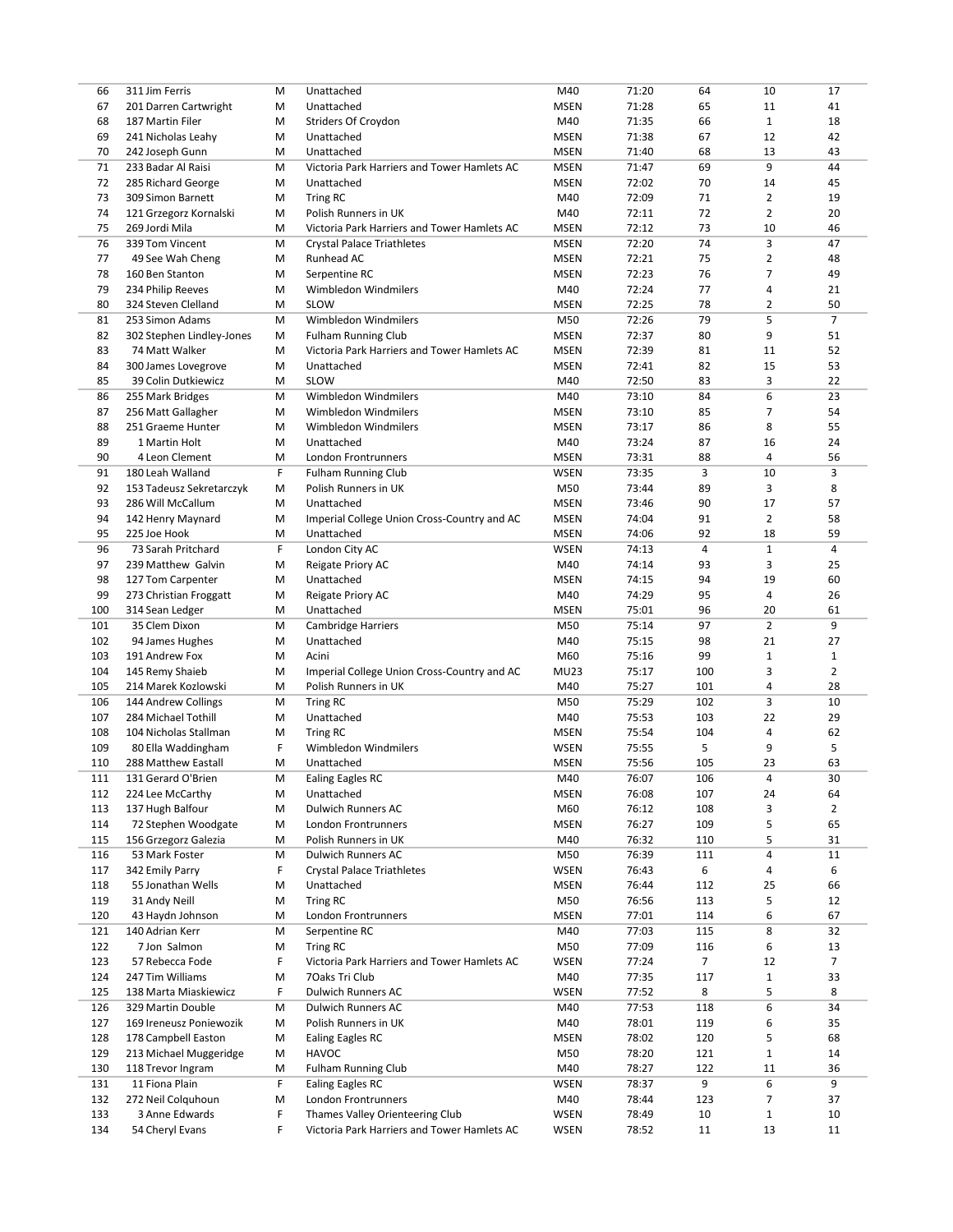| 66  | 311 Jim Ferris                       | M      | Unattached                                                                     | M40                | 71:20          | 64             | 10                 | 17             |
|-----|--------------------------------------|--------|--------------------------------------------------------------------------------|--------------------|----------------|----------------|--------------------|----------------|
| 67  | 201 Darren Cartwright                | м      | Unattached                                                                     | <b>MSEN</b>        | 71:28          | 65             | 11                 | 41             |
| 68  | 187 Martin Filer                     | м      | Striders Of Croydon                                                            | M40                | 71:35          | 66             | $\mathbf{1}$       | 18             |
| 69  | 241 Nicholas Leahy                   | м      | Unattached                                                                     | <b>MSEN</b>        | 71:38          | 67             | 12                 | 42             |
| 70  | 242 Joseph Gunn                      | M      | Unattached                                                                     | <b>MSEN</b>        | 71:40          | 68             | 13                 | 43             |
| 71  | 233 Badar Al Raisi                   | M      | Victoria Park Harriers and Tower Hamlets AC                                    | <b>MSEN</b>        | 71:47          | 69             | 9                  | 44             |
|     |                                      |        |                                                                                |                    |                |                |                    |                |
| 72  | 285 Richard George                   | м      | Unattached                                                                     | <b>MSEN</b>        | 72:02          | 70             | 14                 | 45             |
| 73  | 309 Simon Barnett                    | М      | <b>Tring RC</b>                                                                | M40                | 72:09          | 71             | $\overline{2}$     | 19             |
| 74  | 121 Grzegorz Kornalski               | М      | Polish Runners in UK                                                           | M40                | 72:11          | 72             | $\overline{2}$     | 20             |
| 75  | 269 Jordi Mila                       | м      | Victoria Park Harriers and Tower Hamlets AC                                    | <b>MSEN</b>        | 72:12          | 73             | 10                 | 46             |
| 76  | 339 Tom Vincent                      | М      | <b>Crystal Palace Triathletes</b>                                              | <b>MSEN</b>        | 72:20          | 74             | 3                  | 47             |
| 77  | 49 See Wah Cheng                     | м      | Runhead AC                                                                     | <b>MSEN</b>        | 72:21          | 75             | $\overline{2}$     | 48             |
| 78  | 160 Ben Stanton                      | м      | Serpentine RC                                                                  | <b>MSEN</b>        | 72:23          | 76             | $\overline{7}$     | 49             |
| 79  | 234 Philip Reeves                    | м      | Wimbledon Windmilers                                                           | M40                | 72:24          | 77             | 4                  | 21             |
| 80  | 324 Steven Clelland                  | м      | SLOW                                                                           | <b>MSEN</b>        | 72:25          | 78             | 2                  | 50             |
| 81  | 253 Simon Adams                      | М      | Wimbledon Windmilers                                                           | M50                | 72:26          | 79             | 5                  | $\overline{7}$ |
| 82  | 302 Stephen Lindley-Jones            | М      | <b>Fulham Running Club</b>                                                     | <b>MSEN</b>        | 72:37          | 80             | 9                  | 51             |
|     |                                      |        |                                                                                |                    |                |                |                    | 52             |
| 83  | 74 Matt Walker                       | м      | Victoria Park Harriers and Tower Hamlets AC                                    | <b>MSEN</b>        | 72:39          | 81             | 11                 |                |
| 84  | 300 James Lovegrove                  | м      | Unattached                                                                     | <b>MSEN</b>        | 72:41          | 82             | 15                 | 53             |
| 85  | 39 Colin Dutkiewicz                  | м      | <b>SLOW</b>                                                                    | M40                | 72:50          | 83             | 3                  | 22             |
| 86  | 255 Mark Bridges                     | м      | Wimbledon Windmilers                                                           | M40                | 73:10          | 84             | 6                  | 23             |
| 87  | 256 Matt Gallagher                   | м      | Wimbledon Windmilers                                                           | <b>MSEN</b>        | 73:10          | 85             | 7                  | 54             |
| 88  | 251 Graeme Hunter                    | м      | Wimbledon Windmilers                                                           | <b>MSEN</b>        | 73:17          | 86             | 8                  | 55             |
| 89  | 1 Martin Holt                        | м      | Unattached                                                                     | M40                | 73:24          | 87             | 16                 | 24             |
| 90  | 4 Leon Clement                       | M      | London Frontrunners                                                            | <b>MSEN</b>        | 73:31          | 88             | 4                  | 56             |
| 91  | 180 Leah Walland                     | F      | <b>Fulham Running Club</b>                                                     | <b>WSEN</b>        | 73:35          | 3              | 10                 | 3              |
| 92  | 153 Tadeusz Sekretarczyk             | М      | Polish Runners in UK                                                           | M50                | 73:44          | 89             | 3                  | 8              |
| 93  | 286 Will McCallum                    | м      | Unattached                                                                     | <b>MSEN</b>        | 73:46          | 90             | 17                 | 57             |
| 94  |                                      |        |                                                                                |                    |                |                | $\overline{2}$     | 58             |
|     | 142 Henry Maynard                    | м      | Imperial College Union Cross-Country and AC                                    | <b>MSEN</b>        | 74:04          | 91             |                    |                |
| 95  | 225 Joe Hook                         | м      | Unattached                                                                     | <b>MSEN</b>        | 74:06          | 92             | 18                 | 59             |
| 96  | 73 Sarah Pritchard                   | F      | London City AC                                                                 | <b>WSEN</b>        | 74:13          | 4              | $\mathbf{1}$       | 4              |
| 97  | 239 Matthew Galvin                   | м      | Reigate Priory AC                                                              | M40                | 74:14          | 93             | 3                  | 25             |
| 98  | 127 Tom Carpenter                    | м      | Unattached                                                                     | <b>MSEN</b>        | 74:15          | 94             | 19                 | 60             |
| 99  | 273 Christian Froggatt               | М      | Reigate Priory AC                                                              | M40                | 74:29          | 95             | 4                  | 26             |
| 100 | 314 Sean Ledger                      | м      | Unattached                                                                     | <b>MSEN</b>        | 75:01          | 96             | 20                 | 61             |
| 101 | 35 Clem Dixon                        | м      | Cambridge Harriers                                                             | M50                | 75:14          | 97             | $\overline{2}$     | 9              |
| 102 | 94 James Hughes                      | м      | Unattached                                                                     | M40                | 75:15          | 98             | 21                 | 27             |
| 103 | 191 Andrew Fox                       | м      | Acini                                                                          | M60                | 75:16          | 99             | $\mathbf{1}$       | $\mathbf{1}$   |
| 104 | 145 Remy Shaieb                      | м      | Imperial College Union Cross-Country and AC                                    | <b>MU23</b>        | 75:17          | 100            | 3                  | $\overline{2}$ |
| 105 | 214 Marek Kozlowski                  | м      | Polish Runners in UK                                                           | M40                | 75:27          | 101            | 4                  | 28             |
| 106 | 144 Andrew Collings                  | M      | <b>Tring RC</b>                                                                | M50                | 75:29          | 102            | 3                  | 10             |
|     |                                      |        |                                                                                |                    |                |                |                    |                |
| 107 | 284 Michael Tothill                  | м      | Unattached                                                                     | M40                | 75:53          | 103            | 22                 | 29             |
| 108 | 104 Nicholas Stallman                | м      | <b>Tring RC</b>                                                                | <b>MSEN</b>        | 75:54          | 104            | 4                  | 62             |
| 109 | 80 Ella Waddingham                   | F      | Wimbledon Windmilers                                                           | <b>WSEN</b>        | 75:55          | 5              | 9                  | 5              |
| 110 | 288 Matthew Eastall                  | M      | Unattached                                                                     | <b>MSEN</b>        | 75:56          | 105            | 23                 | 63             |
| 111 | 131 Gerard O'Brien                   | M      | <b>Ealing Eagles RC</b>                                                        | M40                | 76:07          | 106            | 4                  | 30             |
| 112 | 224 Lee McCarthy                     | M      | Unattached                                                                     | <b>MSEN</b>        | 76:08          | 107            | 24                 | 64             |
| 113 | 137 Hugh Balfour                     | М      | Dulwich Runners AC                                                             | M60                | 76:12          | 108            | 3                  | $\overline{2}$ |
| 114 | 72 Stephen Woodgate                  | M      | London Frontrunners                                                            | <b>MSEN</b>        | 76:27          | 109            | 5                  | 65             |
| 115 | 156 Grzegorz Galezia                 | M      | Polish Runners in UK                                                           | M40                | 76:32          | 110            | 5                  | 31             |
| 116 | 53 Mark Foster                       | M      | Dulwich Runners AC                                                             | M50                | 76:39          | 111            | 4                  | 11             |
| 117 | 342 Emily Parry                      | F      | <b>Crystal Palace Triathletes</b>                                              | <b>WSEN</b>        | 76:43          | 6              | 4                  | 6              |
| 118 | 55 Jonathan Wells                    | M      | Unattached                                                                     | <b>MSEN</b>        | 76:44          | 112            | 25                 | 66             |
|     |                                      |        |                                                                                | M50                | 76:56          |                | 5                  |                |
| 119 | 31 Andy Neill                        | M      | <b>Tring RC</b>                                                                |                    |                | 113            |                    | 12             |
| 120 | 43 Haydn Johnson                     | M      | London Frontrunners                                                            | <b>MSEN</b>        | 77:01          | 114            | 6                  | 67             |
| 121 | 140 Adrian Kerr                      | M      | Serpentine RC                                                                  | M40                | 77:03          | 115            | 8                  | 32             |
| 122 | 7 Jon Salmon                         | M      | <b>Tring RC</b>                                                                | M50                | 77:09          | 116            | 6                  | 13             |
| 123 | 57 Rebecca Fode                      | F      | Victoria Park Harriers and Tower Hamlets AC                                    | <b>WSEN</b>        | 77:24          | $\overline{7}$ | 12                 | 7              |
| 124 | 247 Tim Williams                     | M      | 70aks Tri Club                                                                 | M40                | 77:35          | 117            | $\mathbf{1}$       | 33             |
| 125 | 138 Marta Miaskiewicz                | F      | Dulwich Runners AC                                                             | <b>WSEN</b>        | 77:52          | 8              | 5                  | 8              |
| 126 | 329 Martin Double                    | M      | Dulwich Runners AC                                                             | M40                | 77:53          | 118            | 6                  | 34             |
| 127 | 169 Ireneusz Poniewozik              | M      | Polish Runners in UK                                                           | M40                | 78:01          | 119            | 6                  | 35             |
| 128 | 178 Campbell Easton                  | M      | Ealing Eagles RC                                                               | <b>MSEN</b>        | 78:02          | 120            | 5                  | 68             |
| 129 | 213 Michael Muggeridge               | M      | <b>HAVOC</b>                                                                   | M50                | 78:20          | 121            | $\mathbf{1}$       | 14             |
| 130 | 118 Trevor Ingram                    | M      | <b>Fulham Running Club</b>                                                     | M40                | 78:27          | 122            | 11                 | 36             |
| 131 | 11 Fiona Plain                       | F      | <b>Ealing Eagles RC</b>                                                        | <b>WSEN</b>        | 78:37          | 9              | 6                  | 9              |
|     |                                      |        |                                                                                |                    |                |                |                    |                |
| 132 | 272 Neil Colquhoun<br>3 Anne Edwards | M      | London Frontrunners                                                            | M40<br><b>WSEN</b> | 78:44          | 123<br>10      | 7                  | 37             |
| 133 |                                      |        |                                                                                |                    |                |                |                    |                |
| 134 | 54 Cheryl Evans                      | F<br>F | Thames Valley Orienteering Club<br>Victoria Park Harriers and Tower Hamlets AC | <b>WSEN</b>        | 78:49<br>78:52 | 11             | $\mathbf{1}$<br>13 | 10<br>11       |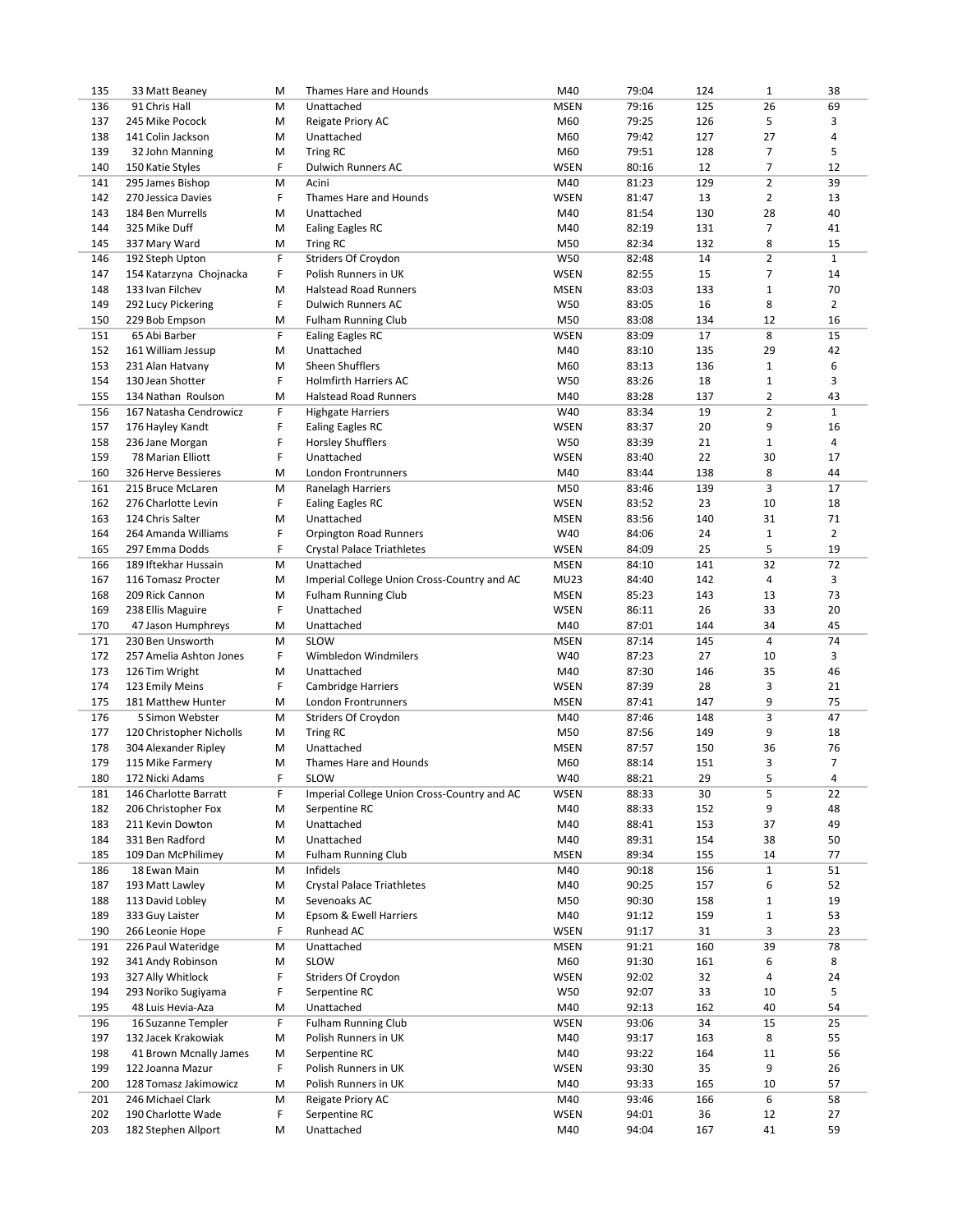| 135        | 33 Matt Beaney                         | M      | Thames Hare and Hounds                              | M40                | 79:04          | 124       | $\mathbf 1$                   | 38                 |
|------------|----------------------------------------|--------|-----------------------------------------------------|--------------------|----------------|-----------|-------------------------------|--------------------|
| 136        | 91 Chris Hall                          | M      | Unattached                                          | <b>MSEN</b>        | 79:16          | 125       | 26                            | 69                 |
| 137        | 245 Mike Pocock                        | M      | Reigate Priory AC                                   | M60                | 79:25          | 126       | 5                             | 3                  |
| 138        | 141 Colin Jackson                      | M      | Unattached                                          | M60                | 79:42          | 127       | 27                            | 4                  |
| 139        | 32 John Manning                        | M      | <b>Tring RC</b>                                     | M60                | 79:51          | 128       | $\overline{7}$                | 5                  |
| 140        | 150 Katie Styles                       | F      | Dulwich Runners AC                                  | <b>WSEN</b>        | 80:16          | 12        | $\overline{7}$                | 12                 |
| 141        | 295 James Bishop                       | M      | Acini                                               | M40                | 81:23          | 129       | $\mathbf 2$                   | 39                 |
| 142        | 270 Jessica Davies                     | F      | Thames Hare and Hounds                              | <b>WSEN</b>        | 81:47          | 13        | $\overline{2}$                | 13                 |
| 143        | 184 Ben Murrells                       | M      | Unattached                                          | M40                | 81:54          | 130       | 28                            | 40                 |
| 144        | 325 Mike Duff                          | M      | Ealing Eagles RC                                    | M40                | 82:19          | 131       | $\overline{7}$                | 41                 |
| 145        | 337 Mary Ward                          | M      | <b>Tring RC</b>                                     | M50                | 82:34          | 132       | 8                             | 15                 |
| 146        | 192 Steph Upton                        | F      | Striders Of Croydon                                 | W50                | 82:48          | 14        | $\overline{2}$                | $\mathbf{1}$       |
| 147        | 154 Katarzyna Chojnacka                | F      | Polish Runners in UK                                | <b>WSEN</b>        | 82:55          | 15        | $\overline{7}$                | 14                 |
| 148        | 133 Ivan Filchev                       | M      | <b>Halstead Road Runners</b>                        | <b>MSEN</b>        | 83:03          | 133       | $\mathbf{1}$                  | 70                 |
| 149        | 292 Lucy Pickering                     | F      | <b>Dulwich Runners AC</b>                           | W50                | 83:05          | 16        | 8                             | $\overline{2}$     |
| 150        | 229 Bob Empson                         | M      | <b>Fulham Running Club</b>                          | M50                | 83:08          | 134       | 12                            | 16                 |
| 151        | 65 Abi Barber                          | F      | <b>Ealing Eagles RC</b>                             | <b>WSEN</b>        | 83:09          | 17        | 8                             | 15                 |
| 152        | 161 William Jessup                     | M      | Unattached                                          | M40                | 83:10          | 135       | 29                            | 42                 |
| 153        | 231 Alan Hatvany                       | M      | Sheen Shufflers                                     | M60                | 83:13          | 136       | $\mathbf{1}$                  | 6                  |
| 154        | 130 Jean Shotter<br>134 Nathan Roulson | F      | <b>Holmfirth Harriers AC</b>                        | W50                | 83:26<br>83:28 | 18        | $\mathbf 1$<br>$\overline{2}$ | 3<br>43            |
| 155        |                                        | M<br>F | <b>Halstead Road Runners</b>                        | M40                |                | 137<br>19 | $\overline{2}$                |                    |
| 156<br>157 | 167 Natasha Cendrowicz                 | F      | <b>Highgate Harriers</b>                            | W40<br><b>WSEN</b> | 83:34<br>83:37 | 20        | 9                             | $\mathbf{1}$<br>16 |
| 158        | 176 Hayley Kandt                       | F      | <b>Ealing Eagles RC</b><br><b>Horsley Shufflers</b> | W50                | 83:39          | 21        | $\mathbf{1}$                  | $\overline{4}$     |
| 159        | 236 Jane Morgan<br>78 Marian Elliott   | F      | Unattached                                          | <b>WSEN</b>        | 83:40          | 22        | 30                            | 17                 |
| 160        | 326 Herve Bessieres                    | M      | London Frontrunners                                 | M40                | 83:44          | 138       | 8                             | 44                 |
| 161        | 215 Bruce McLaren                      | M      | <b>Ranelagh Harriers</b>                            | M50                | 83:46          | 139       | 3                             | 17                 |
| 162        | 276 Charlotte Levin                    | F      | <b>Ealing Eagles RC</b>                             | <b>WSEN</b>        | 83:52          | 23        | 10                            | 18                 |
| 163        | 124 Chris Salter                       | M      | Unattached                                          | <b>MSEN</b>        | 83:56          | 140       | 31                            | 71                 |
| 164        | 264 Amanda Williams                    | F      | <b>Orpington Road Runners</b>                       | W40                | 84:06          | 24        | $\mathbf{1}$                  | 2                  |
| 165        | 297 Emma Dodds                         | F      | Crystal Palace Triathletes                          | <b>WSEN</b>        | 84:09          | 25        | 5                             | 19                 |
| 166        | 189 Iftekhar Hussain                   | M      | Unattached                                          | <b>MSEN</b>        | 84:10          | 141       | 32                            | 72                 |
| 167        | 116 Tomasz Procter                     | M      | Imperial College Union Cross-Country and AC         | <b>MU23</b>        | 84:40          | 142       | 4                             | 3                  |
| 168        | 209 Rick Cannon                        | M      | <b>Fulham Running Club</b>                          | <b>MSEN</b>        | 85:23          | 143       | 13                            | 73                 |
| 169        | 238 Ellis Maguire                      | F      | Unattached                                          | <b>WSEN</b>        | 86:11          | 26        | 33                            | 20                 |
| 170        | 47 Jason Humphreys                     | M      | Unattached                                          | M40                | 87:01          | 144       | 34                            | 45                 |
| 171        | 230 Ben Unsworth                       | M      | <b>SLOW</b>                                         | <b>MSEN</b>        | 87:14          | 145       | $\overline{4}$                | 74                 |
| 172        | 257 Amelia Ashton Jones                | F      | Wimbledon Windmilers                                | W40                | 87:23          | 27        | 10                            | 3                  |
| 173        | 126 Tim Wright                         | M      | Unattached                                          | M40                | 87:30          | 146       | 35                            | 46                 |
| 174        | 123 Emily Meins                        | F      | <b>Cambridge Harriers</b>                           | <b>WSEN</b>        | 87:39          | 28        | 3                             | 21                 |
| 175        | 181 Matthew Hunter                     | M      | London Frontrunners                                 | <b>MSEN</b>        | 87:41          | 147       | 9                             | 75                 |
| 176        | 5 Simon Webster                        | M      | Striders Of Croydon                                 | M40                | 87:46          | 148       | 3                             | 47                 |
| 177        | 120 Christopher Nicholls               | М      | <b>Tring RC</b>                                     | M50                | 87:56          | 149       | 9                             | 18                 |
| 178        | 304 Alexander Ripley                   | M      | Unattached                                          | <b>MSEN</b>        | 87:57          | 150       | 36                            | 76                 |
| 179        | 115 Mike Farmery                       | M      | Thames Hare and Hounds                              | M60                | 88:14          | 151       | 3                             | $\overline{7}$     |
| 180        | 172 Nicki Adams                        | F      | <b>SLOW</b>                                         | W40                | 88:21          | 29        | 5                             | 4                  |
| 181        | 146 Charlotte Barratt                  | F      | Imperial College Union Cross-Country and AC         | <b>WSEN</b>        | 88:33          | 30        | 5                             | 22                 |
| 182        | 206 Christopher Fox                    | M      | Serpentine RC                                       | M40                | 88:33          | 152       | 9                             | 48                 |
| 183        | 211 Kevin Dowton                       | М      | Unattached                                          | M40                | 88:41          | 153       | 37                            | 49                 |
| 184        | 331 Ben Radford                        | М      | Unattached                                          | M40                | 89:31          | 154       | 38                            | 50                 |
| 185        | 109 Dan McPhilimey                     | М      | <b>Fulham Running Club</b>                          | <b>MSEN</b>        | 89:34          | 155       | 14                            | 77                 |
| 186        | 18 Ewan Main                           | М      | Infidels                                            | M40                | 90:18          | 156       | $\mathbf{1}$                  | 51                 |
| 187        | 193 Matt Lawley                        | М      | Crystal Palace Triathletes                          | M40                | 90:25          | 157       | 6                             | 52                 |
| 188        | 113 David Lobley                       | М      | Sevenoaks AC                                        | M50                | 90:30          | 158       | $\mathbf 1$                   | 19                 |
| 189        | 333 Guy Laister                        | М      | Epsom & Ewell Harriers                              | M40                | 91:12          | 159       | $1\,$                         | 53                 |
| 190        | 266 Leonie Hope                        | F      | Runhead AC                                          | <b>WSEN</b>        | 91:17          | 31        | 3                             | 23                 |
| 191        | 226 Paul Wateridge                     | М      | Unattached                                          | <b>MSEN</b>        | 91:21          | 160       | 39                            | 78                 |
| 192        | 341 Andy Robinson                      | М      | SLOW                                                | M60                | 91:30          | 161       | 6                             | 8                  |
| 193        | 327 Ally Whitlock                      | F      | Striders Of Croydon                                 | <b>WSEN</b>        | 92:02          | 32        | 4                             | 24                 |
| 194        | 293 Noriko Sugiyama                    | F      | Serpentine RC                                       | W50                | 92:07          | 33        | 10                            | 5                  |
| 195        | 48 Luis Hevia-Aza                      | M      | Unattached                                          | M40                | 92:13          | 162       | 40                            | 54                 |
| 196        | 16 Suzanne Templer                     | F      | <b>Fulham Running Club</b>                          | <b>WSEN</b>        | 93:06          | 34        | 15                            | 25                 |
| 197        | 132 Jacek Krakowiak                    | M      | Polish Runners in UK                                | M40                | 93:17          | 163       | 8                             | 55                 |
| 198        | 41 Brown Mcnally James                 | М      | Serpentine RC                                       | M40                | 93:22          | 164       | 11                            | 56                 |
| 199        | 122 Joanna Mazur                       | F      | Polish Runners in UK                                | <b>WSEN</b>        | 93:30          | 35        | 9                             | 26                 |
| 200        | 128 Tomasz Jakimowicz                  | М      | Polish Runners in UK                                | M40                | 93:33          | 165       | 10                            | 57                 |
| 201        | 246 Michael Clark                      | М      | Reigate Priory AC                                   | M40                | 93:46          | 166       | 6                             | 58                 |
| 202        | 190 Charlotte Wade                     | F      | Serpentine RC                                       | WSEN               | 94:01          | 36        | 12                            | 27                 |
| 203        | 182 Stephen Allport                    | М      | Unattached                                          | M40                | 94:04          | 167       | 41                            | 59                 |